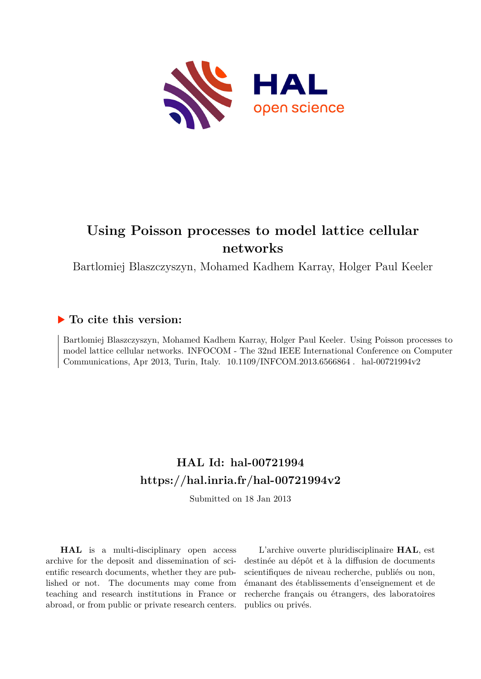

## **Using Poisson processes to model lattice cellular networks**

Bartlomiej Blaszczyszyn, Mohamed Kadhem Karray, Holger Paul Keeler

### **To cite this version:**

Bartlomiej Blaszczyszyn, Mohamed Kadhem Karray, Holger Paul Keeler. Using Poisson processes to model lattice cellular networks. INFOCOM - The 32nd IEEE International Conference on Computer Communications, Apr 2013, Turin, Italy. 10.1109/INFCOM.2013.6566864. hal-00721994v2

## **HAL Id: hal-00721994 <https://hal.inria.fr/hal-00721994v2>**

Submitted on 18 Jan 2013

**HAL** is a multi-disciplinary open access archive for the deposit and dissemination of scientific research documents, whether they are published or not. The documents may come from teaching and research institutions in France or abroad, or from public or private research centers.

L'archive ouverte pluridisciplinaire **HAL**, est destinée au dépôt et à la diffusion de documents scientifiques de niveau recherche, publiés ou non, émanant des établissements d'enseignement et de recherche français ou étrangers, des laboratoires publics ou privés.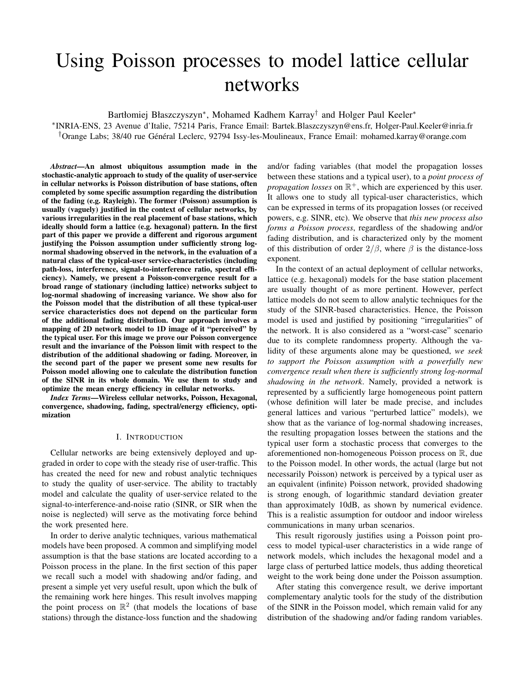# Using Poisson processes to model lattice cellular networks

Bartłomiej Błaszczyszyn<sup>∗</sup> , Mohamed Kadhem Karray† and Holger Paul Keeler<sup>∗</sup>

∗ INRIA-ENS, 23 Avenue d'Italie, 75214 Paris, France Email: Bartek.Blaszczyszyn@ens.fr, Holger-Paul.Keeler@inria.fr <sup>†</sup>Orange Labs; 38/40 rue Général Leclerc, 92794 Issy-les-Moulineaux, France Email: mohamed.karray@orange.com

*Abstract*—An almost ubiquitous assumption made in the stochastic-analytic approach to study of the quality of user-service in cellular networks is Poisson distribution of base stations, often completed by some specific assumption regarding the distribution of the fading (e.g. Rayleigh). The former (Poisson) assumption is usually (vaguely) justified in the context of cellular networks, by various irregularities in the real placement of base stations, which ideally should form a lattice (e.g. hexagonal) pattern. In the first part of this paper we provide a different and rigorous argument justifying the Poisson assumption under sufficiently strong lognormal shadowing observed in the network, in the evaluation of a natural class of the typical-user service-characteristics (including path-loss, interference, signal-to-interference ratio, spectral efficiency). Namely, we present a Poisson-convergence result for a broad range of stationary (including lattice) networks subject to log-normal shadowing of increasing variance. We show also for the Poisson model that the distribution of all these typical-user service characteristics does not depend on the particular form of the additional fading distribution. Our approach involves a mapping of 2D network model to 1D image of it "perceived" by the typical user. For this image we prove our Poisson convergence result and the invariance of the Poisson limit with respect to the distribution of the additional shadowing or fading. Moreover, in the second part of the paper we present some new results for Poisson model allowing one to calculate the distribution function of the SINR in its whole domain. We use them to study and optimize the mean energy efficiency in cellular networks.

*Index Terms*—Wireless cellular networks, Poisson, Hexagonal, convergence, shadowing, fading, spectral/energy efficiency, optimization

#### I. INTRODUCTION

Cellular networks are being extensively deployed and upgraded in order to cope with the steady rise of user-traffic. This has created the need for new and robust analytic techniques to study the quality of user-service. The ability to tractably model and calculate the quality of user-service related to the signal-to-interference-and-noise ratio (SINR, or SIR when the noise is neglected) will serve as the motivating force behind the work presented here.

In order to derive analytic techniques, various mathematical models have been proposed. A common and simplifying model assumption is that the base stations are located according to a Poisson process in the plane. In the first section of this paper we recall such a model with shadowing and/or fading, and present a simple yet very useful result, upon which the bulk of the remaining work here hinges. This result involves mapping the point process on  $\mathbb{R}^2$  (that models the locations of base stations) through the distance-loss function and the shadowing

and/or fading variables (that model the propagation losses between these stations and a typical user), to a *point process of propagation losses* on  $\mathbb{R}^+$ , which are experienced by this user. It allows one to study all typical-user characteristics, which can be expressed in terms of its propagation losses (or received powers, e.g. SINR, etc). We observe that *this new process also forms a Poisson process*, regardless of the shadowing and/or fading distribution, and is characterized only by the moment of this distribution of order  $2/\beta$ , where  $\beta$  is the distance-loss exponent.

In the context of an actual deployment of cellular networks, lattice (e.g. hexagonal) models for the base station placement are usually thought of as more pertinent. However, perfect lattice models do not seem to allow analytic techniques for the study of the SINR-based characteristics. Hence, the Poisson model is used and justified by positioning "irregularities" of the network. It is also considered as a "worst-case" scenario due to its complete randomness property. Although the validity of these arguments alone may be questioned, *we seek to support the Poisson assumption with a powerfully new convergence result when there is sufficiently strong log-normal shadowing in the network*. Namely, provided a network is represented by a sufficiently large homogeneous point pattern (whose definition will later be made precise, and includes general lattices and various "perturbed lattice" models), we show that as the variance of log-normal shadowing increases, the resulting propagation losses between the stations and the typical user form a stochastic process that converges to the aforementioned non-homogeneous Poisson process on R, due to the Poisson model. In other words, the actual (large but not necessarily Poisson) network is perceived by a typical user as an equivalent (infinite) Poisson network, provided shadowing is strong enough, of logarithmic standard deviation greater than approximately 10dB, as shown by numerical evidence. This is a realistic assumption for outdoor and indoor wireless communications in many urban scenarios.

This result rigorously justifies using a Poisson point process to model typical-user characteristics in a wide range of network models, which includes the hexagonal model and a large class of perturbed lattice models, thus adding theoretical weight to the work being done under the Poisson assumption.

After stating this convergence result, we derive important complementary analytic tools for the study of the distribution of the SINR in the Poisson model, which remain valid for any distribution of the shadowing and/or fading random variables.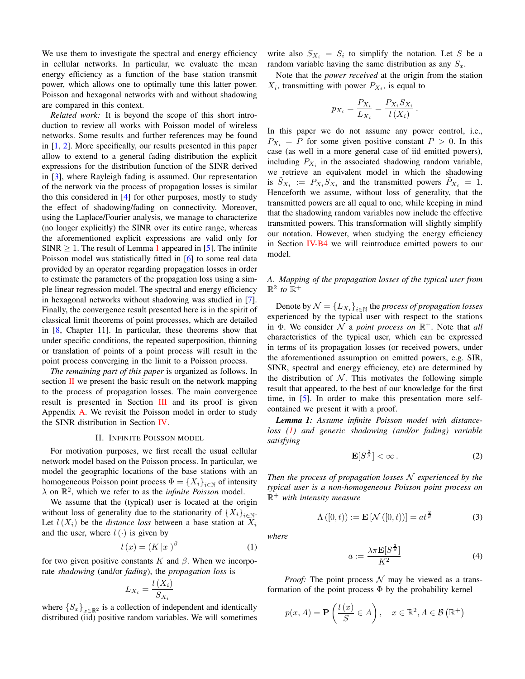We use them to investigate the spectral and energy efficiency in cellular networks. In particular, we evaluate the mean energy efficiency as a function of the base station transmit power, which allows one to optimally tune this latter power. Poisson and hexagonal networks with and without shadowing are compared in this context.

*Related work:* It is beyond the scope of this short introduction to review all works with Poisson model of wireless networks. Some results and further references may be found in [1, 2]. More specifically, our results presented in this paper allow to extend to a general fading distribution the explicit expressions for the distribution function of the SINR derived in [3], where Rayleigh fading is assumed. Our representation of the network via the process of propagation losses is similar tho this considered in [4] for other purposes, mostly to study the effect of shadowing/fading on connectivity. Moreover, using the Laplace/Fourier analysis, we manage to characterize (no longer explicitly) the SINR over its entire range, whereas the aforementioned explicit expressions are valid only for  $SINR \geq 1$ . The result of Lemma 1 appeared in [5]. The infinite Poisson model was statistically fitted in [6] to some real data provided by an operator regarding propagation losses in order to estimate the parameters of the propagation loss using a simple linear regression model. The spectral and energy efficiency in hexagonal networks without shadowing was studied in [7]. Finally, the convergence result presented here is in the spirit of classical limit theorems of point processes, which are detailed in [8, Chapter 11]. In particular, these theorems show that under specific conditions, the repeated superposition, thinning or translation of points of a point process will result in the point process converging in the limit to a Poisson process.

*The remaining part of this paper* is organized as follows. In section  $\overline{II}$  we present the basic result on the network mapping to the process of propagation losses. The main convergence result is presented in Section III and its proof is given Appendix A. We revisit the Poisson model in order to study the SINR distribution in Section IV.

#### II. INFINITE POISSON MODEL

For motivation purposes, we first recall the usual cellular network model based on the Poisson process. In particular, we model the geographic locations of the base stations with an homogeneous Poisson point process  $\Phi = \{X_i\}_{i \in \mathbb{N}}$  of intensity  $\lambda$  on  $\mathbb{R}^2$ , which we refer to as the *infinite Poisson* model.

We assume that the (typical) user is located at the origin without loss of generality due to the stationarity of  ${X_i}_{i \in \mathbb{N}}$ . Let  $l(X_i)$  be the *distance loss* between a base station at  $X_i$ and the user, where  $l(\cdot)$  is given by

$$
l\left(x\right) = \left(K\left|x\right|\right)^{\beta} \tag{1}
$$

for two given positive constants K and  $\beta$ . When we incorporate *shadowing* (and/or *fading*), the *propagation loss* is

$$
L_{X_i} = \frac{l(X_i)}{S_{X_i}}
$$

where  $\{S_x\}_{x\in\mathbb{R}^2}$  is a collection of independent and identically distributed (iid) positive random variables. We will sometimes

write also  $S_{X_i} = S_i$  to simplify the notation. Let S be a random variable having the same distribution as any  $S_x$ .

Note that the *power received* at the origin from the station  $X_i$ , transmitting with power  $P_{X_i}$ , is equal to

$$
p_{X_i} = \frac{P_{X_i}}{L_{X_i}} = \frac{P_{X_i} S_{X_i}}{l(X_i)}.
$$

In this paper we do not assume any power control, i.e.,  $P_{X_i} = P$  for some given positive constant  $P > 0$ . In this case (as well in a more general case of iid emitted powers), including  $P_{X_i}$  in the associated shadowing random variable, we retrieve an equivalent model in which the shadowing is  $\tilde{S}_{X_i} := P_{X_i} S_{X_i}$  and the transmitted powers  $\tilde{P}_{X_i} = 1$ . Henceforth we assume, without loss of generality, that the transmitted powers are all equal to one, while keeping in mind that the shadowing random variables now include the effective transmitted powers. This transformation will slightly simplify our notation. However, when studying the energy efficiency in Section IV-B4 we will reintroduce emitted powers to our model.

#### *A. Mapping of the propagation losses of the typical user from*  $\mathbb{R}^2$  to  $\mathbb{R}^+$

Denote by  $\mathcal{N} = \left\{ L_{X_i} \right\}_{i \in \mathbb{N}}$  the *process of propagation losses* experienced by the typical user with respect to the stations in  $\Phi$ . We consider  $N$  a *point process on*  $\mathbb{R}^+$ . Note that *all* characteristics of the typical user, which can be expressed in terms of its propagation losses (or received powers, under the aforementioned assumption on emitted powers, e.g. SIR, SINR, spectral and energy efficiency, etc) are determined by the distribution of  $N$ . This motivates the following simple result that appeared, to the best of our knowledge for the first time, in [5]. In order to make this presentation more selfcontained we present it with a proof.

*Lemma 1: Assume infinite Poisson model with distanceloss (1) and generic shadowing (and/or fading) variable satisfying*

$$
\mathbf{E}[S^{\frac{2}{\beta}}] < \infty. \tag{2}
$$

*Then the process of propagation losses* N *experienced by the typical user is a non-homogeneous Poisson point process on* R <sup>+</sup> *with intensity measure*

$$
\Lambda([0,t)) := \mathbf{E}\left[\mathcal{N}([0,t))\right] = at^{\frac{2}{\beta}}\tag{3}
$$

*where*

$$
a := \frac{\lambda \pi \mathbf{E}[S^{\frac{2}{\beta}}]}{K^2} \tag{4}
$$

*Proof:* The point process  $\mathcal N$  may be viewed as a transformation of the point process  $\Phi$  by the probability kernel

$$
p(x, A) = \mathbf{P}\left(\frac{l(x)}{S} \in A\right), \quad x \in \mathbb{R}^2, A \in \mathcal{B}\left(\mathbb{R}^+\right)
$$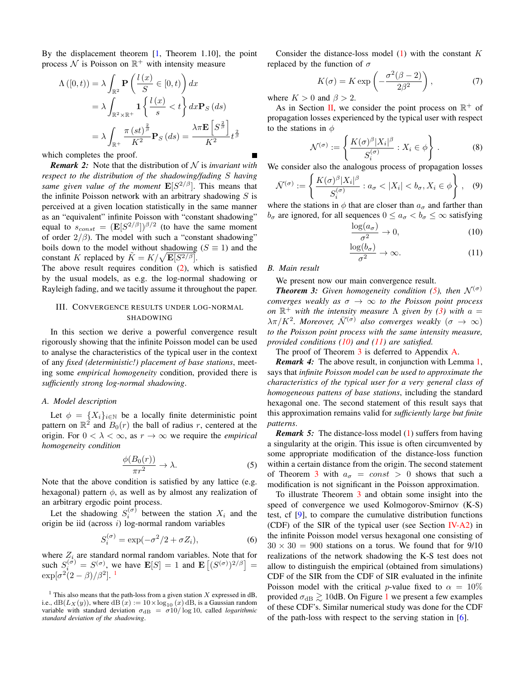By the displacement theorem  $[1,$  Theorem 1.10], the point process  $N$  is Poisson on  $\mathbb{R}^+$  with intensity measure

$$
\Lambda([0, t)) = \lambda \int_{\mathbb{R}^2} \mathbf{P}\left(\frac{l(x)}{S} \in [0, t)\right) dx
$$
  
=  $\lambda \int_{\mathbb{R}^2 \times \mathbb{R}^+} \mathbf{1} \left\{ \frac{l(x)}{s} < t \right\} dx \mathbf{P}_S(ds)$   
=  $\lambda \int_{\mathbb{R}^+} \frac{\pi (st)^{\frac{2}{\beta}}}{K^2} \mathbf{P}_S(ds) = \frac{\lambda \pi \mathbf{E} \left[ S^{\frac{2}{\beta}} \right]}{K^2} t^{\frac{2}{\beta}}$ 

which completes the proof.

*Remark 2:* Note that the distribution of  $N$  is *invariant with respect to the distribution of the shadowing/fading* S *having same given value of the moment*  $\mathbf{E}[S^{2/\beta}]$ . This means that the infinite Poisson network with an arbitrary shadowing  $S$  is perceived at a given location statistically in the same manner as an "equivalent" infinite Poisson with "constant shadowing" equal to  $s_{const} = (\mathbf{E}[S^{2/\beta}])^{\beta/2}$  (to have the same moment of order  $2/\beta$ ). The model with such a "constant shadowing" boils down to the model without shadowing ( $S \equiv 1$ ) and the constant K replaced by  $\tilde{K} = K/\sqrt{\mathbf{E}[S^{2/\beta}]}$ .

The above result requires condition (2), which is satisfied by the usual models, as e.g. the log-normal shadowing or Rayleigh fading, and we tacitly assume it throughout the paper.

#### III. CONVERGENCE RESULTS UNDER LOG-NORMAL SHADOWING

In this section we derive a powerful convergence result rigorously showing that the infinite Poisson model can be used to analyse the characteristics of the typical user in the context of any *fixed (deterministic!) placement of base stations*, meeting some *empirical homogeneity* condition, provided there is *sufficiently strong log-normal shadowing*.

#### *A. Model description*

Let  $\phi = \{X_i\}_{i \in \mathbb{N}}$  be a locally finite deterministic point pattern on  $\mathbb{R}^2$  and  $B_0(r)$  the ball of radius r, centered at the origin. For  $0 < \lambda < \infty$ , as  $r \to \infty$  we require the *empirical homogeneity condition*

$$
\frac{\phi(B_0(r))}{\pi r^2} \to \lambda. \tag{5}
$$

Note that the above condition is satisfied by any lattice (e.g. hexagonal) pattern  $\phi$ , as well as by almost any realization of an arbitrary ergodic point process.

Let the shadowing  $S_i^{(\sigma)}$  between the station  $X_i$  and the origin be iid (across  $i$ ) log-normal random variables

$$
S_i^{(\sigma)} = \exp(-\sigma^2/2 + \sigma Z_i),\tag{6}
$$

where  $Z_i$  are standard normal random variables. Note that for such  $S_i^{(\sigma)} = S^{(\sigma)}$ , we have  $\mathbf{E}[S] = 1$  and  $\mathbf{E}[(S^{(\sigma)})^{2/\beta}] =$  $\exp[\sigma^2(2-\beta)/\beta^2].$ <sup>1</sup>

Consider the distance-loss model  $(1)$  with the constant K replaced by the function of  $\sigma$ 

$$
K(\sigma) = K \exp\left(-\frac{\sigma^2(\beta - 2)}{2\beta^2}\right),\tag{7}
$$

where  $K > 0$  and  $\beta > 2$ .

As in Section II, we consider the point process on  $\mathbb{R}^+$  of propagation losses experienced by the typical user with respect to the stations in  $\phi$ 

$$
\mathcal{N}^{(\sigma)} := \left\{ \frac{K(\sigma)^{\beta} |X_i|^{\beta}}{S_i^{(\sigma)}} : X_i \in \phi \right\}.
$$
 (8)

We consider also the analogous process of propagation losses

$$
\bar{\mathcal{N}}^{(\sigma)} := \left\{ \frac{K(\sigma)^{\beta} |X_i|^{\beta}}{S_i^{(\sigma)}} : a_{\sigma} < |X_i| < b_{\sigma}, X_i \in \phi \right\}, \quad (9)
$$

where the stations in  $\phi$  that are closer than  $a_{\sigma}$  and farther than  $b_{\sigma}$  are ignored, for all sequences  $0 \le a_{\sigma} < b_{\sigma} \le \infty$  satisfying

$$
\frac{\log(a_{\sigma})}{\sigma^2} \to 0,\tag{10}
$$

$$
\frac{\log(b_{\sigma})}{\sigma^2} \to \infty.
$$
 (11)

#### *B. Main result*

We present now our main convergence result.

*Theorem 3: Given homogeneity condition (5), then* $\mathcal{N}^{(\sigma)}$ *converges weakly as*  $\sigma \to \infty$  *to the Poisson point process on*  $\mathbb{R}^+$  *with the intensity measure*  $\Lambda$  *given by (3) with*  $a =$  $\lambda \pi/K^2$ . Moreover,  $\bar{\mathcal{N}}^{(\sigma)}$  also converges weakly  $(\sigma \to \infty)$ *to the Poisson point process with the same intensity measure, provided conditions (10) and (11) are satisfied.*

The proof of Theorem 3 is deferred to Appendix A.

*Remark 4:* The above result, in conjunction with Lemma 1, says that *infinite Poisson model can be used to approximate the characteristics of the typical user for a very general class of homogeneous pattens of base stations*, including the standard hexagonal one. The second statement of this result says that this approximation remains valid for *sufficiently large but finite patterns*.

*Remark 5:* The distance-loss model (1) suffers from having a singularity at the origin. This issue is often circumvented by some appropriate modification of the distance-loss function within a certain distance from the origin. The second statement of Theorem 3 with  $a_{\sigma} = const > 0$  shows that such a modification is not significant in the Poisson approximation.

To illustrate Theorem 3 and obtain some insight into the speed of convergence we used Kolmogorov-Smirnov (K-S) test, cf [9], to compare the cumulative distribution functions (CDF) of the SIR of the typical user (see Section IV-A2) in the infinite Poisson model versus hexagonal one consisting of  $30 \times 30 = 900$  stations on a torus. We found that for 9/10 realizations of the network shadowing the K-S test does not allow to distinguish the empirical (obtained from simulations) CDF of the SIR from the CDF of SIR evaluated in the infinite Poisson model with the critical p-value fixed to  $\alpha = 10\%$ provided  $\sigma_{dB} \gtrsim 10$ dB. On Figure 1 we present a few examples of these CDF's. Similar numerical study was done for the CDF of the path-loss with respect to the serving station in [6].

<sup>&</sup>lt;sup>1</sup> This also means that the path-loss from a given station  $X$  expressed in dB, i.e.,  $dB(L_X(y))$ , where  $dB(x) := 10 \times log_{10}(x) dB$ , is a Gaussian random variable with standard deviation  $\sigma_{dB} = \frac{\sigma 10}{\log 10}$ , called *logarithmic standard deviation of the shadowing*.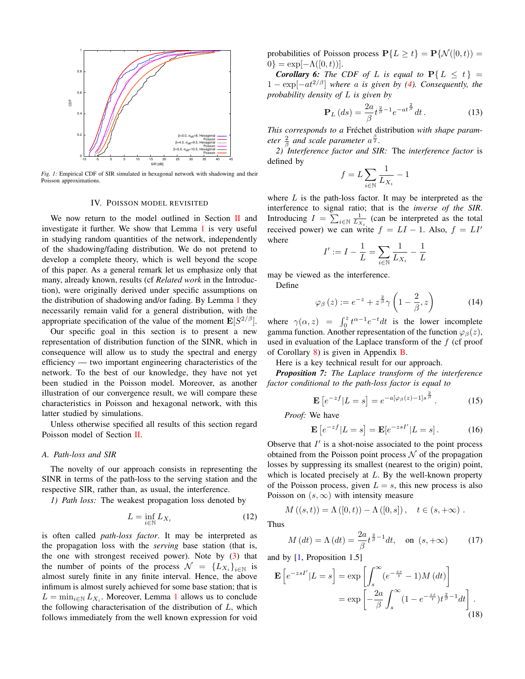

*Fig. 1:* Empirical CDF of SIR simulated in hexagonal network with shadowing and their Poisson approximations.

#### IV. POISSON MODEL REVISITED

We now return to the model outlined in Section  $\Pi$  and investigate it further. We show that Lemma 1 is very useful in studying random quantities of the network, independently of the shadowing/fading distribution. We do not pretend to develop a complete theory, which is well beyond the scope of this paper. As a general remark let us emphasize only that many, already known, results (cf *Related work* in the Introduction), were originally derived under specific assumptions on the distribution of shadowing and/or fading. By Lemma 1 they necessarily remain valid for a general distribution, with the appropriate specification of the value of the moment  $\mathbf{E}[S^{2/\beta}]$ .

Our specific goal in this section is to present a new representation of distribution function of the SINR, which in consequence will allow us to study the spectral and energy efficiency — two important engineering characteristics of the network. To the best of our knowledge, they have not yet been studied in the Poisson model. Moreover, as another illustration of our convergence result, we will compare these characteristics in Poisson and hexagonal network, with this latter studied by simulations.

Unless otherwise specified all results of this section regard Poisson model of Section II.

#### *A. Path-loss and SIR*

The novelty of our approach consists in representing the SINR in terms of the path-loss to the serving station and the respective SIR, rather than, as usual, the interference.

*1) Path loss:* The weakest propagation loss denoted by

$$
L = \inf_{i \in \mathbb{N}} L_{X_i} \tag{12}
$$

is often called *path-loss factor*. It may be interpreted as the propagation loss with the *serving* base station (that is, the one with strongest received power). Note by (3) that the number of points of the process  $\mathcal{N} = \{L_{X_i}\}_{i \in \mathbb{N}}$  is almost surely finite in any finite interval. Hence, the above infimum is almost surely achieved for some base station; that is  $L = \min_{i \in \mathbb{N}} L_{X_i}$ . Moreover, Lemma 1 allows us to conclude the following characterisation of the distribution of  $L$ , which follows immediately from the well known expression for void

probabilities of Poisson process  $P\{L \ge t\} = P\{N([0,t)) =$  $0$ } = exp[ $-\Lambda([0,t))$ ].

**Corollary 6:** The CDF of L is equal to  $P\{L \leq t\}$  $1 - \exp[-at^{2/\beta}]$  *where a is given by (4). Consequently, the probability density of* L *is given by*

$$
\mathbf{P}_L\left(ds\right) = \frac{2a}{\beta} t^{\frac{2}{\beta}-1} e^{-at^{\frac{2}{\beta}}} dt.
$$
 (13)

*This corresponds to a Fréchet distribution with shape parameter*  $\frac{2}{\beta}$  *and scale parameter*  $a^{\frac{\beta}{2}}$ *.* 

*2) Interference factor and SIR:* The *interference factor* is defined by

$$
f = L \sum_{i \in \mathbb{N}} \frac{1}{L_{X_i}} - 1
$$

where  $L$  is the path-loss factor. It may be interpreted as the interference to signal ratio; that is the *inverse of the SIR*. Introducing  $I = \sum_{i \in \mathbb{N}} \frac{1}{L_{X_i}}$  (can be interpreted as the total received power) we can write  $f = LI - 1$ . Also,  $f = LI'$ where

$$
I' := I - \frac{1}{L} = \sum_{i \in \mathbb{N}} \frac{1}{L_{X_i}} - \frac{1}{L}
$$

may be viewed as the interference.

Define

$$
\varphi_{\beta}\left(z\right) := e^{-z} + z^{\frac{2}{\beta}} \gamma\left(1 - \frac{2}{\beta}, z\right) \tag{14}
$$

where  $\gamma(\alpha, z) = \int_0^z t^{\alpha-1} e^{-t} dt$  is the lower incomplete gamma function. Another representation of the function  $\varphi_{\beta}(z)$ , used in evaluation of the Laplace transform of the f (cf proof of Corollary 8) is given in Appendix B.

Here is a key technical result for our approach.

*Proposition 7: The Laplace transform of the interference factor conditional to the path-loss factor is equal to*

$$
\mathbf{E}\left[e^{-zf}|L=s\right] = e^{-a[\varphi_{\beta}(z)-1]s^{\frac{2}{\beta}}}. \tag{15}
$$

*Proof:* We have

$$
\mathbf{E}\left[e^{-zf}|L=s\right] = \mathbf{E}[e^{-zsI'}|L=s].\tag{16}
$$

Observe that  $I'$  is a shot-noise associated to the point process obtained from the Poisson point process  $\mathcal N$  of the propagation losses by suppressing its smallest (nearest to the origin) point, which is located precisely at  $L$ . By the well-known property of the Poisson process, given  $L = s$ , this new process is also Poisson on  $(s, \infty)$  with intensity measure

 $M((s,t)) = \Lambda([0,t)) - \Lambda([0,s])$ ,  $t \in (s, +\infty)$ .

Thus

$$
M\left(dt\right) = \Lambda\left(dt\right) = \frac{2a}{\beta} t^{\frac{2}{\beta} - 1} dt, \quad \text{on } \left(s, +\infty\right) \tag{17}
$$

and by [1, Proposition 1.5]

$$
\mathbf{E}\left[e^{-zsI'}|L=s\right] = \exp\left[\int_s^{\infty} (e^{-\frac{zs}{t}} - 1)M\left(dt\right)\right]
$$

$$
= \exp\left[-\frac{2a}{\beta}\int_s^{\infty} (1 - e^{-\frac{zs}{t}})t^{\frac{2}{\beta}-1}dt\right].
$$
(18)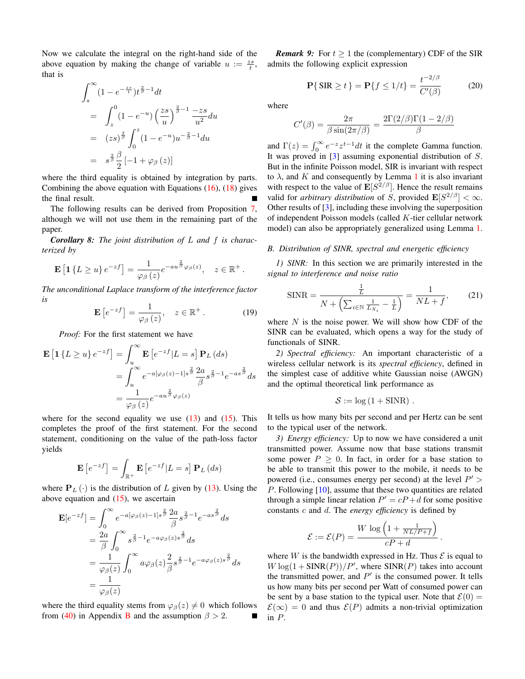Now we calculate the integral on the right-hand side of the above equation by making the change of variable  $u := \frac{zs}{t}$ , that is

$$
\int_{s}^{\infty} (1 - e^{-\frac{zs}{t}}) t^{\frac{2}{\beta} - 1} dt
$$
\n
$$
= \int_{z}^{0} (1 - e^{-u}) \left(\frac{zs}{u}\right)^{\frac{2}{\beta} - 1} \frac{-zs}{u^{2}} du
$$
\n
$$
= (zs)^{\frac{2}{\beta}} \int_{0}^{z} (1 - e^{-u}) u^{-\frac{2}{\beta} - 1} du
$$
\n
$$
= s^{\frac{2}{\beta}} \frac{\beta}{2} [-1 + \varphi_{\beta}(z)]
$$

where the third equality is obtained by integration by parts. Combining the above equation with Equations (16), (18) gives the final result.

The following results can be derived from Proposition 7, although we will not use them in the remaining part of the paper.

*Corollary 8: The joint distribution of* L *and* f *is characterized by*

$$
\mathbf{E}\left[\mathbf{1}\left\{L\geq u\right\}e^{-zf}\right]=\frac{1}{\varphi_{\beta}\left(z\right)}e^{-au^{\frac{2}{\beta}}\varphi_{\beta}\left(z\right)},\quad z\in\mathbb{R}^{+}.
$$

*The unconditional Laplace transform of the interference factor is*

$$
\mathbf{E}\left[e^{-zf}\right] = \frac{1}{\varphi_{\beta}\left(z\right)}, \quad z \in \mathbb{R}^{+}.
$$
 (19)

*Proof:* For the first statement we have

$$
\mathbf{E}\left[\mathbf{1}\left\{L\geq u\right\}e^{-zf}\right] = \int_{u}^{\infty} \mathbf{E}\left[e^{-zf}|L=s\right] \mathbf{P}_{L}\left(ds\right)
$$

$$
= \int_{u}^{\infty} e^{-a[\varphi_{\beta}(z)-1]s^{\frac{2}{\beta}}}\frac{2a}{\beta}s^{\frac{2}{\beta}-1}e^{-as^{\frac{2}{\beta}}}ds
$$

$$
= \frac{1}{\varphi_{\beta}(z)}e^{-au^{\frac{2}{\beta}}\varphi_{\beta}(z)}
$$

where for the second equality we use  $(13)$  and  $(15)$ . This completes the proof of the first statement. For the second statement, conditioning on the value of the path-loss factor yields

$$
\mathbf{E}\left[e^{-zf}\right] = \int_{\mathbb{R}^+} \mathbf{E}\left[e^{-zf}|L=s\right] \mathbf{P}_L\left(ds\right)
$$

where  $P_L(\cdot)$  is the distribution of L given by (13). Using the above equation and  $(15)$ , we ascertain

$$
\mathbf{E}[e^{-zf}] = \int_0^\infty e^{-a[\varphi_\beta(z)-1]s^{\frac{2}{\beta}}}\frac{2a}{\beta}s^{\frac{2}{\beta}-1}e^{-as^{\frac{2}{\beta}}}ds
$$
  

$$
= \frac{2a}{\beta}\int_0^\infty s^{\frac{2}{\beta}-1}e^{-a\varphi_\beta(z)s^{\frac{2}{\beta}}}ds
$$
  

$$
= \frac{1}{\varphi_\beta(z)}\int_0^\infty a\varphi_\beta(z)\frac{2}{\beta}s^{\frac{2}{\beta}-1}e^{-a\varphi_\beta(z)s^{\frac{2}{\beta}}}ds
$$
  

$$
= \frac{1}{\varphi_\beta(z)}
$$

where the third equality stems from  $\varphi_{\beta}(z) \neq 0$  which follows from (40) in Appendix B and the assumption  $\beta > 2$ . Г

*Remark 9:* For  $t > 1$  the (complementary) CDF of the SIR admits the following explicit expression

$$
\mathbf{P}\{\,\text{SIR} \ge t\} = \mathbf{P}\{f \le 1/t\} = \frac{t^{-2/\beta}}{C'(\beta)}\tag{20}
$$

where

$$
C'(\beta) = \frac{2\pi}{\beta \sin(2\pi/\beta)} = \frac{2\Gamma(2/\beta)\Gamma(1 - 2/\beta)}{\beta}
$$

and  $\Gamma(z) = \int_0^\infty e^{-z} z^{t-1} dt$  it the complete Gamma function. It was proved in  $\lceil 3 \rceil$  assuming exponential distribution of S. But in the infinite Poisson model, SIR is invariant with respect to  $\lambda$ , and K and consequently by Lemma 1 it is also invariant with respect to the value of  $\mathbb{E}[S^{2/\beta}]$ . Hence the result remains valid for *arbitrary distribution* of S, provided  $\mathbf{E}[S^{2/\beta}] < \infty$ . Other results of [3], including these involving the superposition of independent Poisson models (called K-tier cellular network model) can also be appropriately generalized using Lemma 1.

#### *B. Distribution of SINR, spectral and energetic efficiency*

*1) SINR:* In this section we are primarily interested in the *signal to interference and noise ratio*

$$
\text{SINR} = \frac{\frac{1}{L}}{N + \left(\sum_{i \in \mathbb{N}} \frac{1}{L_{X_i}} - \frac{1}{L}\right)} = \frac{1}{NL + f},\tag{21}
$$

where  $N$  is the noise power. We will show how CDF of the SINR can be evaluated, which opens a way for the study of functionals of SINR.

*2) Spectral efficiency:* An important characteristic of a wireless cellular network is its *spectral efficiency*, defined in the simplest case of additive white Gaussian noise (AWGN) and the optimal theoretical link performance as

$$
S := \log(1 + \text{SINR}) \; .
$$

It tells us how many bits per second and per Hertz can be sent to the typical user of the network.

*3) Energy efficiency:* Up to now we have considered a unit transmitted power. Assume now that base stations transmit some power  $P > 0$ . In fact, in order for a base station to be able to transmit this power to the mobile, it needs to be powered (i.e., consumes energy per second) at the level  $P'$ P. Following [10], assume that these two quantities are related through a simple linear relation  $P' = cP + d$  for some positive constants c and d. The *energy efficiency* is defined by

$$
\mathcal{E} := \mathcal{E}(P) = \frac{W \log \left(1 + \frac{1}{NL/P + f}\right)}{cP + d}
$$

.

where W is the bandwidth expressed in Hz. Thus  $\mathcal E$  is equal to  $W \log(1 + \text{SINR}(P))/P'$ , where  $\text{SINR}(P)$  takes into account the transmitted power, and  $P'$  is the consumed power. It tells us how many bits per second per Watt of consumed power can be sent by a base station to the typical user. Note that  $\mathcal{E}(0) =$  $\mathcal{E}(\infty) = 0$  and thus  $\mathcal{E}(P)$  admits a non-trivial optimization in P.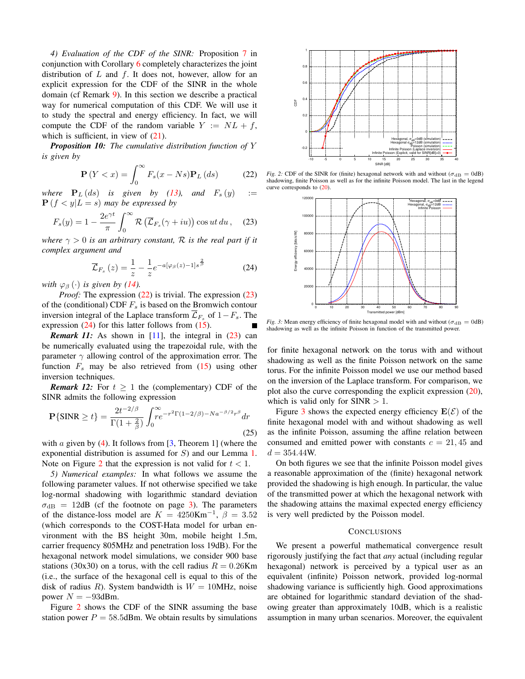*4) Evaluation of the CDF of the SINR:* Proposition 7 in conjunction with Corollary 6 completely characterizes the joint distribution of  $L$  and  $f$ . It does not, however, allow for an explicit expression for the CDF of the SINR in the whole domain (cf Remark 9). In this section we describe a practical way for numerical computation of this CDF. We will use it to study the spectral and energy efficiency. In fact, we will compute the CDF of the random variable  $Y := NL + f$ , which is sufficient, in view of  $(21)$ .

*Proposition 10: The cumulative distribution function of* Y *is given by*

$$
\mathbf{P}\left(Y < x\right) = \int_0^\infty F_s(x - Ns)\mathbf{P}_L\left(ds\right) \tag{22}
$$

*where*  $P_L(ds)$  *is given by (13), and*  $F_s(y)$  :=  $P(f \leq y | L = s)$  may be expressed by

$$
F_s(y) = 1 - \frac{2e^{\gamma t}}{\pi} \int_0^\infty \mathcal{R}\left(\overline{\mathcal{L}}_{F_s}(\gamma + iu)\right) \cos ut \, du \,, \quad (23)
$$

*where*  $\gamma > 0$  *is an arbitrary constant,* R *is the real part if it complex argument and*

$$
\overline{\mathcal{L}}_{F_s}\left(z\right) = \frac{1}{z} - \frac{1}{z}e^{-a\left[\varphi_\beta\left(z\right) - 1\right]s^{\frac{2}{\beta}}}
$$
(24)

*with*  $\varphi_B(\cdot)$  *is given by (14).* 

*Proof:* The expression (22) is trivial. The expression (23) of the (conditional) CDF  $F_s$  is based on the Bromwich contour inversion integral of the Laplace transform  $\overline{\mathcal{L}}_{F_s}$  of  $1-F_s$ . The expression  $(24)$  for this latter follows from  $(15)$ .

*Remark 11:* As shown in  $[11]$ , the integral in  $(23)$  can be numerically evaluated using the trapezoidal rule, with the parameter  $\gamma$  allowing control of the approximation error. The function  $F_s$  may be also retrieved from  $(15)$  using other inversion techniques.

*Remark 12:* For  $t \geq 1$  the (complementary) CDF of the SINR admits the following expression

$$
\mathbf{P}\{\text{SINR} \ge t\} = \frac{2t^{-2/\beta}}{\Gamma(1+\frac{2}{\beta})} \int_0^\infty r e^{-r^2 \Gamma(1-2/\beta) - Na^{-\beta/2}r^\beta} dr \tag{25}
$$

with a given by  $(4)$ . It follows from [3, Theorem 1] (where the exponential distribution is assumed for  $S$ ) and our Lemma 1. Note on Figure 2 that the expression is not valid for  $t < 1$ .

*5) Numerical examples:* In what follows we assume the following parameter values. If not otherwise specified we take log-normal shadowing with logarithmic standard deviation  $\sigma_{\text{dB}}$  = 12dB (cf the footnote on page 3). The parameters of the distance-loss model are  $K = 4250 \text{Km}^{-1}$ ,  $\beta = 3.52$ (which corresponds to the COST-Hata model for urban environment with the BS height 30m, mobile height 1.5m, carrier frequency 805MHz and penetration loss 19dB). For the hexagonal network model simulations, we consider 900 base stations (30x30) on a torus, with the cell radius  $R = 0.26$ Km (i.e., the surface of the hexagonal cell is equal to this of the disk of radius R). System bandwidth is  $W = 10$ MHz, noise power  $N = -93$ dBm.

Figure 2 shows the CDF of the SINR assuming the base station power  $P = 58.5$ dBm. We obtain results by simulations



*Fig. 2:* CDF of the SINR for (finite) hexagonal network with and without ( $\sigma_{dB} = 0dB$ ) shadowing, finite Poisson as well as for the infinite Poisson model. The last in the legend curve corresponds to (20).



*Fig. 3:* Mean energy efficiency of finite hexagonal model with and without ( $\sigma_{dB} = 0dB$ ) shadowing as well as the infinite Poisson in function of the transmitted power.

for finite hexagonal network on the torus with and without shadowing as well as the finite Poisson network on the same torus. For the infinite Poisson model we use our method based on the inversion of the Laplace transform. For comparison, we plot also the curve corresponding the explicit expression (20), which is valid only for  $SINR > 1$ .

Figure 3 shows the expected energy efficiency  $E(\mathcal{E})$  of the finite hexagonal model with and without shadowing as well as the infinite Poisson, assuming the affine relation between consumed and emitted power with constants  $c = 21, 45$  and  $d = 354.44W$ .

On both figures we see that the infinite Poisson model gives a reasonable approximation of the (finite) hexagonal network provided the shadowing is high enough. In particular, the value of the transmitted power at which the hexagonal network with the shadowing attains the maximal expected energy efficiency is very well predicted by the Poisson model.

#### **CONCLUSIONS**

We present a powerful mathematical convergence result rigorously justifying the fact that *any* actual (including regular hexagonal) network is perceived by a typical user as an equivalent (infinite) Poisson network, provided log-normal shadowing variance is sufficiently high. Good approximations are obtained for logarithmic standard deviation of the shadowing greater than approximately 10dB, which is a realistic assumption in many urban scenarios. Moreover, the equivalent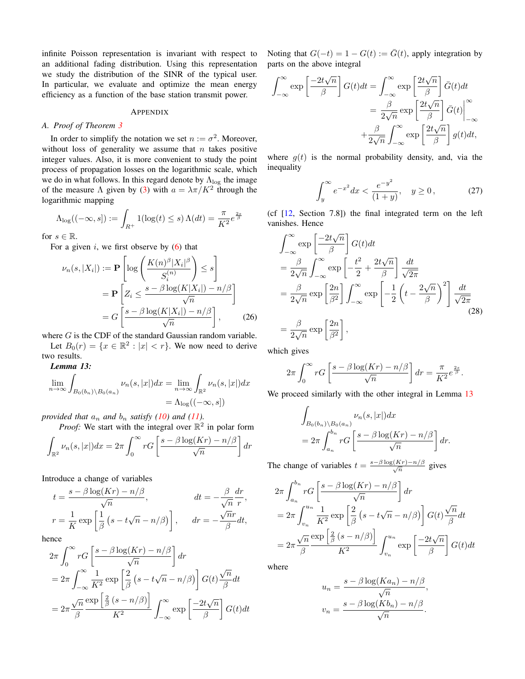infinite Poisson representation is invariant with respect to an additional fading distribution. Using this representation we study the distribution of the SINR of the typical user. In particular, we evaluate and optimize the mean energy efficiency as a function of the base station transmit power.

#### APPENDIX

#### *A. Proof of Theorem 3*

In order to simplify the notation we set  $n := \sigma^2$ . Moreover, without loss of generality we assume that  $n$  takes positive integer values. Also, it is more convenient to study the point process of propagation losses on the logarithmic scale, which we do in what follows. In this regard denote by  $\Lambda_{\text{log}}$  the image of the measure  $\Lambda$  given by (3) with  $a = \lambda \pi / K^2$  through the logarithmic mapping

$$
\Lambda_{\log}((-\infty, s]) := \int_{R^+} 1(\log(t) \le s) \Lambda(dt) = \frac{\pi}{K^2} e^{\frac{2s}{\beta}}
$$

for  $s \in \mathbb{R}$ .

For a given i, we first observe by  $(6)$  that

$$
\nu_n(s, |X_i|) := \mathbf{P} \left[ \log \left( \frac{K(n)^{\beta} |X_i|^{\beta}}{S_i^{(n)}} \right) \le s \right]
$$

$$
= \mathbf{P} \left[ Z_i \le \frac{s - \beta \log(K|X_i|) - n/\beta}{\sqrt{n}} \right]
$$

$$
= G \left[ \frac{s - \beta \log(K|X_i|) - n/\beta}{\sqrt{n}} \right], \quad (26)
$$

where G is the CDF of the standard Gaussian random variable. Let  $B_0(r) = \{x \in \mathbb{R}^2 : |x| < r\}$ . We now need to derive

two results. *Lemma 13:*

$$
\lim_{n \to \infty} \int_{B_0(b_n) \backslash B_0(a_n)} \nu_n(s, |x|) dx = \lim_{n \to \infty} \int_{\mathbb{R}^2} \nu_n(s, |x|) dx
$$

$$
= \Lambda_{\log}((-\infty, s])
$$

*provided that*  $a_n$  *and*  $b_n$  *satisfy* (10) *and* (11)*.* 

*Proof:* We start with the integral over  $\mathbb{R}^2$  in polar form

$$
\int_{\mathbb{R}^2} \nu_n(s, |x|) dx = 2\pi \int_0^\infty r G\left[\frac{s - \beta \log(Kr) - n/\beta}{\sqrt{n}}\right] dr
$$

Introduce a change of variables

$$
t = \frac{s - \beta \log(Kr) - n/\beta}{\sqrt{n}}, \qquad dt = -\frac{\beta}{\sqrt{n}} \frac{dr}{r},
$$
  

$$
r = \frac{1}{K} \exp\left[\frac{1}{\beta} \left(s - t\sqrt{n} - n/\beta\right)\right], \qquad dr = -\frac{\sqrt{n}r}{\beta} dt,
$$

hence

$$
2\pi \int_0^\infty r G\left[\frac{s - \beta \log(Kr) - n/\beta}{\sqrt{n}}\right] dr
$$
  
=  $2\pi \int_{-\infty}^\infty \frac{1}{K^2} \exp\left[\frac{2}{\beta} \left(s - t\sqrt{n} - n/\beta\right)\right] G(t) \frac{\sqrt{n}}{\beta} dt$   
=  $2\pi \frac{\sqrt{n}}{\beta} \frac{\exp\left[\frac{2}{\beta} \left(s - n/\beta\right)\right]}{K^2} \int_{-\infty}^\infty \exp\left[\frac{-2t\sqrt{n}}{\beta}\right] G(t) dt$ 

Noting that  $G(-t) = 1 - G(t) := \overline{G}(t)$ , apply integration by parts on the above integral

$$
\int_{-\infty}^{\infty} \exp\left[\frac{-2t\sqrt{n}}{\beta}\right] G(t)dt = \int_{-\infty}^{\infty} \exp\left[\frac{2t\sqrt{n}}{\beta}\right] \bar{G}(t)dt
$$

$$
= \frac{\beta}{2\sqrt{n}} \exp\left[\frac{2t\sqrt{n}}{\beta}\right] \bar{G}(t)\Big|_{-\infty}^{\infty}
$$

$$
+ \frac{\beta}{2\sqrt{n}} \int_{-\infty}^{\infty} \exp\left[\frac{2t\sqrt{n}}{\beta}\right] g(t)dt,
$$

where  $g(t)$  is the normal probability density, and, via the inequality

$$
\int_{y}^{\infty} e^{-x^2} dx < \frac{e^{-y^2}}{(1+y)}, \quad y \ge 0,
$$
 (27)

(cf [12, Section 7.8]) the final integrated term on the left vanishes. Hence

$$
\int_{-\infty}^{\infty} \exp\left[\frac{-2t\sqrt{n}}{\beta}\right] G(t) dt
$$
  
\n
$$
= \frac{\beta}{2\sqrt{n}} \int_{-\infty}^{\infty} \exp\left[-\frac{t^2}{2} + \frac{2t\sqrt{n}}{\beta}\right] \frac{dt}{\sqrt{2\pi}}
$$
  
\n
$$
= \frac{\beta}{2\sqrt{n}} \exp\left[\frac{2n}{\beta^2}\right] \int_{-\infty}^{\infty} \exp\left[-\frac{1}{2}\left(t - \frac{2\sqrt{n}}{\beta}\right)^2\right] \frac{dt}{\sqrt{2\pi}}
$$
  
\n
$$
= \frac{\beta}{2\sqrt{n}} \exp\left[\frac{2n}{\beta^2}\right],
$$
 (28)

which gives

$$
2\pi \int_0^\infty r G\left[\frac{s-\beta \log(Kr)-n/\beta}{\sqrt{n}}\right] dr = \frac{\pi}{K^2} e^{\frac{2s}{\beta}}.
$$

We proceed similarly with the other integral in Lemma 13

$$
\int_{B_0(b_n)\backslash B_0(a_n)} \nu_n(s,|x|)dx
$$
  
=  $2\pi \int_{a_n}^{b_n} rG\left[\frac{s-\beta \log(Kr)-n/\beta}{\sqrt{n}}\right] dr.$ 

The change of variables  $t = \frac{s - \beta \log(Kr) - n/\beta}{\sqrt{n}}$  gives

$$
2\pi \int_{a_n}^{b_n} rG\left[\frac{s - \beta \log(Kr) - n/\beta}{\sqrt{n}}\right] dr
$$
  
=  $2\pi \int_{v_n}^{u_n} \frac{1}{K^2} \exp\left[\frac{2}{\beta} \left(s - t\sqrt{n} - n/\beta\right)\right] G(t) \frac{\sqrt{n}}{\beta} dt$   
=  $2\pi \frac{\sqrt{n}}{\beta} \frac{\exp\left[\frac{2}{\beta} \left(s - n/\beta\right)\right]}{K^2} \int_{v_n}^{u_n} \exp\left[\frac{-2t\sqrt{n}}{\beta}\right] G(t) dt$ 

where

$$
u_n = \frac{s - \beta \log(Ka_n) - n/\beta}{\sqrt{n}},
$$

$$
v_n = \frac{s - \beta \log(Kb_n) - n/\beta}{\sqrt{n}}.
$$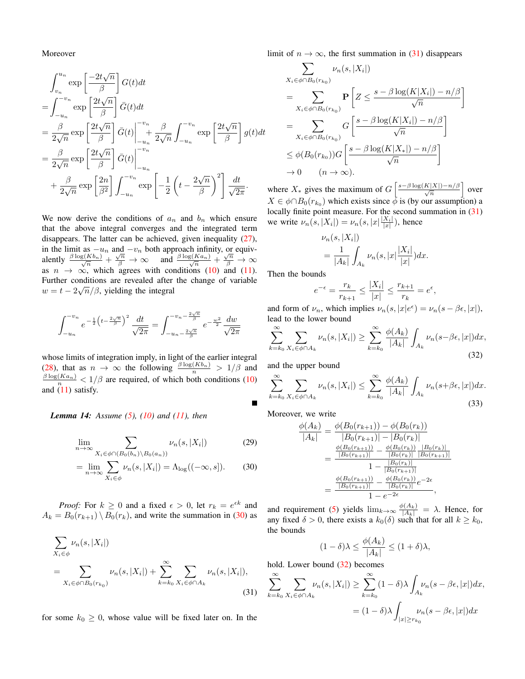Moreover

$$
\int_{v_n}^{u_n} \exp\left[\frac{-2t\sqrt{n}}{\beta}\right] G(t) dt
$$
\n
$$
= \int_{-u_n}^{-v_n} \exp\left[\frac{2t\sqrt{n}}{\beta}\right] \bar{G}(t) dt
$$
\n
$$
= \frac{\beta}{2\sqrt{n}} \exp\left[\frac{2t\sqrt{n}}{\beta}\right] \bar{G}(t) \Big|_{-u_n}^{-v_n} + \frac{\beta}{2\sqrt{n}} \int_{-u_n}^{-v_n} \exp\left[\frac{2t\sqrt{n}}{\beta}\right] g(t) dt
$$
\n
$$
= \frac{\beta}{2\sqrt{n}} \exp\left[\frac{2t\sqrt{n}}{\beta}\right] \bar{G}(t) \Big|_{-u_n}^{-v_n}
$$
\n
$$
+ \frac{\beta}{2\sqrt{n}} \exp\left[\frac{2n}{\beta^2}\right] \int_{-u_n}^{-v_n} \exp\left[-\frac{1}{2}\left(t - \frac{2\sqrt{n}}{\beta}\right)^2\right] \frac{dt}{\sqrt{2\pi}}.
$$

We now derive the conditions of  $a_n$  and  $b_n$  which ensure that the above integral converges and the integrated term disappears. The latter can be achieved, given inequality (27), in the limit as  $-u_n$  and  $-v_n$  both approach infinity, or equivalently  $\frac{\beta \log(Kb_n)}{\sqrt{n}} + \frac{\sqrt{n}}{\beta} \to \infty$  and  $\frac{\beta \log(Ka_n)}{\sqrt{n}} + \frac{\sqrt{n}}{\beta} \to \infty$ as  $n \to \infty$ , which agrees with conditions (10) and (11). Further conditions are revealed after the change of variable  $w = t - 2\sqrt{n}/\beta$ , yielding the integral

$$
\int_{-u_n}^{-v_n} e^{-\frac{1}{2}\left(t - \frac{2\sqrt{n}}{\beta}\right)^2} \frac{dt}{\sqrt{2\pi}} = \int_{-u_n - \frac{2\sqrt{n}}{\beta}}^{-v_n - \frac{2\sqrt{n}}{\beta}} e^{-\frac{w^2}{2}} \frac{dw}{\sqrt{2\pi}}
$$

whose limits of integration imply, in light of the earlier integral (28), that as  $n \to \infty$  the following  $\frac{\beta \log(Kb_n)}{n} > 1/\beta$  and  $\frac{\beta \log(K a_n)}{n}$  < 1/ $\beta$  are required, of which both conditions (10) and  $(11)$  satisfy.

*Lemma 14: Assume (5), (10) and (11), then*

$$
\lim_{n \to \infty} \sum_{X_i \in \phi \cap (B_0(b_n) \setminus B_0(a_n))} \nu_n(s, |X_i|) \tag{29}
$$

$$
= \lim_{n \to \infty} \sum_{X_i \in \phi} \nu_n(s, |X_i|) = \Lambda_{\log}((-\infty, s]). \tag{30}
$$

*Proof:* For  $k \geq 0$  and a fixed  $\epsilon > 0$ , let  $r_k = e^{\epsilon k}$  and  $A_k = B_0(r_{k+1}) \setminus B_0(r_k)$ , and write the summation in (30) as

$$
\sum_{X_i \in \phi} \nu_n(s, |X_i|)
$$
  
= 
$$
\sum_{X_i \in \phi \cap B_0(r_{k_0})} \nu_n(s, |X_i|) + \sum_{k=k_0}^{\infty} \sum_{X_i \in \phi \cap A_k} \nu_n(s, |X_i|),
$$
 (31)

for some  $k_0 \geq 0$ , whose value will be fixed later on. In the

limit of  $n \to \infty$ , the first summation in (31) disappears

$$
\sum_{X_i \in \phi \cap B_0(r_{k_0})} \nu_n(s, |X_i|)
$$
\n
$$
= \sum_{X_i \in \phi \cap B_0(r_{k_0})} \mathbf{P}\left[Z \le \frac{s - \beta \log(K|X_i|) - n/\beta}{\sqrt{n}}\right]
$$
\n
$$
= \sum_{X_i \in \phi \cap B_0(r_{k_0})} G\left[\frac{s - \beta \log(K|X_i|) - n/\beta}{\sqrt{n}}\right]
$$
\n
$$
\le \phi(B_0(r_{k_0})) G\left[\frac{s - \beta \log(K|X_i|) - n/\beta}{\sqrt{n}}\right]
$$
\n
$$
\to 0 \qquad (n \to \infty).
$$

where  $X_*$  gives the maximum of  $G\left[\frac{s-\beta\log(K|X|)-n/\beta}{\sqrt{n}}\right]$  over  $X \in \phi \cap B_0(r_{k_0})$  which exists since  $\bar{\phi}$  is (by our assumption) a locally finite point measure. For the second summation in (31) we write  $\nu_n(s, |X_i|) = \nu_n(s, |x|\frac{|X_i|}{|x|})$ , hence

$$
\nu_n(s, |X_i|)
$$
  
= 
$$
\frac{1}{|A_k|} \int_{A_k} \nu_n(s, |x| \frac{|X_i|}{|x|}) dx.
$$

Then the bounds

$$
e^{-\epsilon} = \frac{r_k}{r_{k+1}} \le \frac{|X_i|}{|x|} \le \frac{r_{k+1}}{r_k} = e^{\epsilon},
$$

and form of  $\nu_n$ , which implies  $\nu_n(s, |x|e^{\epsilon}) = \nu_n(s - \beta \epsilon, |x|)$ , lead to the lower bound

$$
\sum_{k=k_0}^{\infty} \sum_{X_i \in \phi \cap A_k} \nu_n(s, |X_i|) \ge \sum_{k=k_0}^{\infty} \frac{\phi(A_k)}{|A_k|} \int_{A_k} \nu_n(s - \beta \epsilon, |x|) dx,
$$
\n(32)

and the upper bound

$$
\sum_{k=k_0}^{\infty} \sum_{X_i \in \phi \cap A_k} \nu_n(s, |X_i|) \le \sum_{k=k_0}^{\infty} \frac{\phi(A_k)}{|A_k|} \int_{A_k} \nu_n(s + \beta \epsilon, |x|) dx.
$$
\n(33)

Moreover, we write

Г

$$
\frac{\phi(A_k)}{|A_k|} = \frac{\phi(B_0(r_{k+1})) - \phi(B_0(r_k))}{|B_0(r_{k+1})| - |B_0(r_k)|}
$$
\n
$$
= \frac{\frac{\phi(B_0(r_{k+1}))}{|B_0(r_{k+1})|} - \frac{\phi(B_0(r_k))}{|B_0(r_k)|} \frac{|B_0(r_k)|}{|B_0(r_{k+1})|}}{1 - \frac{|B_0(r_k)|}{|B_0(r_{k+1})|}}
$$
\n
$$
= \frac{\frac{\phi(B_0(r_{k+1}))}{|B_0(r_{k+1})|} - \frac{\phi(B_0(r_k))}{|B_0(r_k)|}e^{-2\epsilon}}{1 - e^{-2\epsilon}},
$$

and requirement (5) yields  $\lim_{k\to\infty} \frac{\phi(A_k)}{|A_k|} = \lambda$ . Hence, for any fixed  $\delta > 0$ , there exists a  $k_0(\delta)$  such that for all  $k \geq k_0$ , the bounds

$$
(1 - \delta)\lambda \le \frac{\phi(A_k)}{|A_k|} \le (1 + \delta)\lambda,
$$

hold. Lower bound (32) becomes

$$
\sum_{k=k_0}^{\infty} \sum_{X_i \in \phi \cap A_k} \nu_n(s, |X_i|) \ge \sum_{k=k_0}^{\infty} (1 - \delta) \lambda \int_{A_k} \nu_n(s - \beta \epsilon, |x|) dx,
$$

$$
= (1 - \delta) \lambda \int_{|x| \ge r_{k_0}} \nu_n(s - \beta \epsilon, |x|) dx
$$